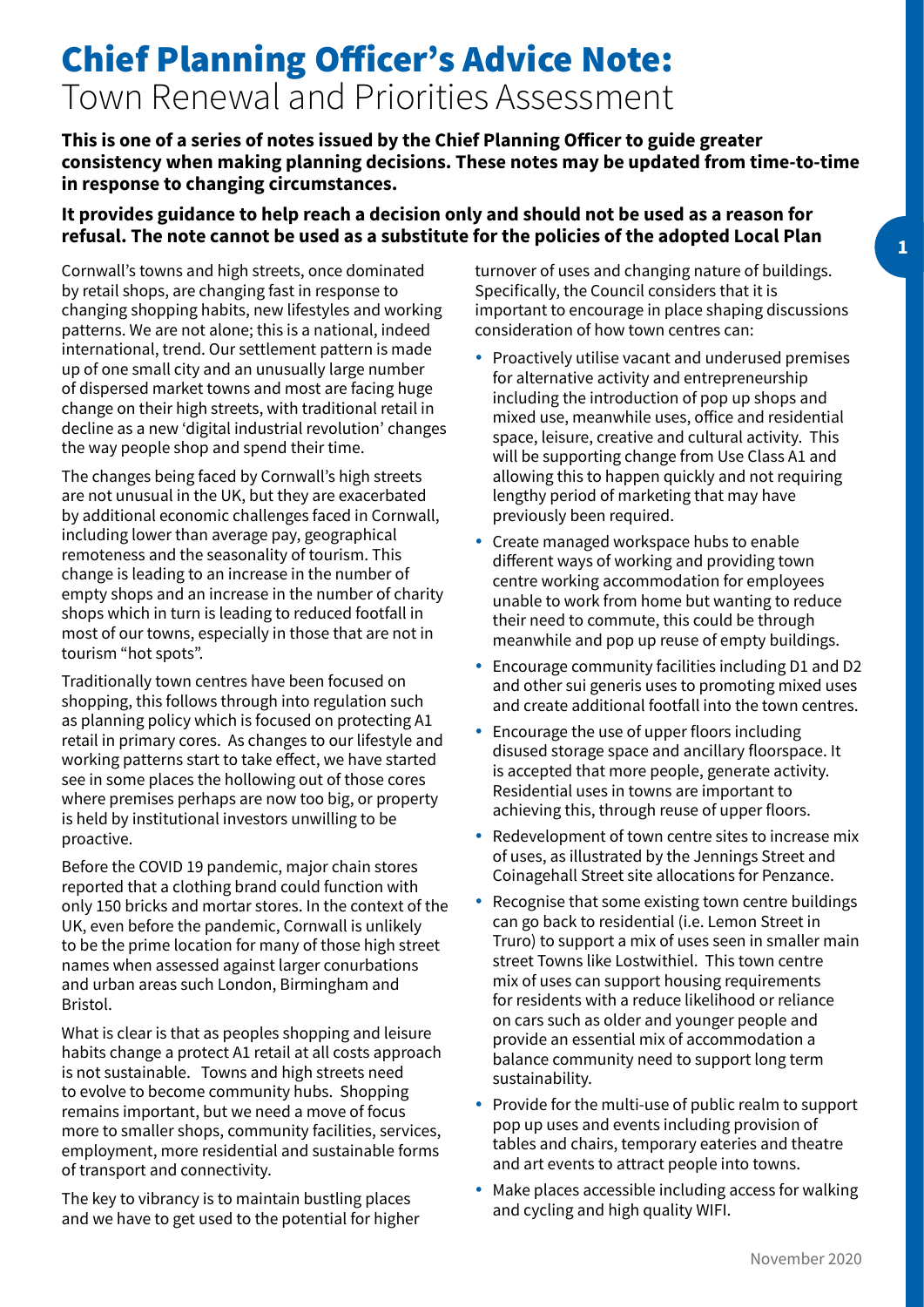## Chief Planning Officer's Advice Note: Town Renewal and Priorities Assessment

**This is one of a series of notes issued by the Chief Planning Officer to guide greater consistency when making planning decisions. These notes may be updated from time-to-time in response to changing circumstances.**

## **It provides guidance to help reach a decision only and should not be used as a reason for refusal. The note cannot be used as a substitute for the policies of the adopted Local Plan**

Cornwall's towns and high streets, once dominated by retail shops, are changing fast in response to changing shopping habits, new lifestyles and working patterns. We are not alone; this is a national, indeed international, trend. Our settlement pattern is made up of one small city and an unusually large number of dispersed market towns and most are facing huge change on their high streets, with traditional retail in decline as a new 'digital industrial revolution' changes the way people shop and spend their time.

The changes being faced by Cornwall's high streets are not unusual in the UK, but they are exacerbated by additional economic challenges faced in Cornwall, including lower than average pay, geographical remoteness and the seasonality of tourism. This change is leading to an increase in the number of empty shops and an increase in the number of charity shops which in turn is leading to reduced footfall in most of our towns, especially in those that are not in tourism "hot spots".

Traditionally town centres have been focused on shopping, this follows through into regulation such as planning policy which is focused on protecting A1 retail in primary cores. As changes to our lifestyle and working patterns start to take effect, we have started see in some places the hollowing out of those cores where premises perhaps are now too big, or property is held by institutional investors unwilling to be proactive.

Before the COVID 19 pandemic, major chain stores reported that a clothing brand could function with only 150 bricks and mortar stores. In the context of the UK, even before the pandemic, Cornwall is unlikely to be the prime location for many of those high street names when assessed against larger conurbations and urban areas such London, Birmingham and Bristol.

What is clear is that as peoples shopping and leisure habits change a protect A1 retail at all costs approach is not sustainable. Towns and high streets need to evolve to become community hubs. Shopping remains important, but we need a move of focus more to smaller shops, community facilities, services, employment, more residential and sustainable forms of transport and connectivity.

The key to vibrancy is to maintain bustling places and we have to get used to the potential for higher turnover of uses and changing nature of buildings. Specifically, the Council considers that it is important to encourage in place shaping discussions consideration of how town centres can:

- Proactively utilise vacant and underused premises for alternative activity and entrepreneurship including the introduction of pop up shops and mixed use, meanwhile uses, office and residential space, leisure, creative and cultural activity. This will be supporting change from Use Class A1 and allowing this to happen quickly and not requiring lengthy period of marketing that may have previously been required.
- Create managed workspace hubs to enable different ways of working and providing town centre working accommodation for employees unable to work from home but wanting to reduce their need to commute, this could be through meanwhile and pop up reuse of empty buildings.
- Encourage community facilities including D1 and D2 and other sui generis uses to promoting mixed uses and create additional footfall into the town centres.
- y Encourage the use of upper floors including disused storage space and ancillary floorspace. It is accepted that more people, generate activity. Residential uses in towns are important to achieving this, through reuse of upper floors.
- Redevelopment of town centre sites to increase mix of uses, as illustrated by the Jennings Street and Coinagehall Street site allocations for Penzance.
- Recognise that some existing town centre buildings can go back to residential (i.e. Lemon Street in Truro) to support a mix of uses seen in smaller main street Towns like Lostwithiel. This town centre mix of uses can support housing requirements for residents with a reduce likelihood or reliance on cars such as older and younger people and provide an essential mix of accommodation a balance community need to support long term sustainability.
- Provide for the multi-use of public realm to support pop up uses and events including provision of tables and chairs, temporary eateries and theatre and art events to attract people into towns.
- Make places accessible including access for walking and cycling and high quality WIFI.

**1**